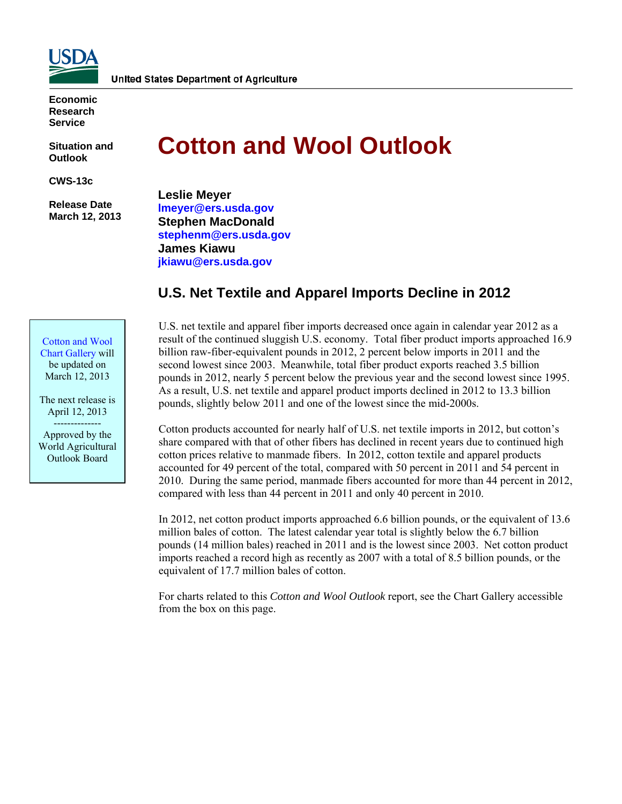

**Economic Research Service** 

**Situation and Outlook** 

**CWS-13c** 

 **Release Date March 12, 2013** 

# **Cotton and Wool Outlook**

**Leslie Meyer [lmeyer@ers.usda.gov](mailto:lmeyer@ers.usda.gov)  Stephen MacDonald <stephenm@ers.usda.gov> James Kiawu [jkiawu@ers.usda.gov](mailtojkiawu@ers.usda.gov)** 

# **U.S. Net Textile and Apparel Imports Decline in 2012**

[Cotton and Wool](http://www.ers.usda.gov/data-products/cotton-and-wool-chart-gallery.aspx)  Chart Gallery will be updated on March 12, 2013

The next release is April 12, 2013 -------------- Approved by the World Agricultural Outlook Board

U.S. net textile and apparel fiber imports decreased once again in calendar year 2012 as a result of the continued sluggish U.S. economy. Total fiber product imports approached 16.9 billion raw-fiber-equivalent pounds in 2012, 2 percent below imports in 2011 and the second lowest since 2003. Meanwhile, total fiber product exports reached 3.5 billion pounds in 2012, nearly 5 percent below the previous year and the second lowest since 1995. As a result, U.S. net textile and apparel product imports declined in 2012 to 13.3 billion pounds, slightly below 2011 and one of the lowest since the mid-2000s.

Cotton products accounted for nearly half of U.S. net textile imports in 2012, but cotton's share compared with that of other fibers has declined in recent years due to continued high cotton prices relative to manmade fibers. In 2012, cotton textile and apparel products accounted for 49 percent of the total, compared with 50 percent in 2011 and 54 percent in 2010. During the same period, manmade fibers accounted for more than 44 percent in 2012, compared with less than 44 percent in 2011 and only 40 percent in 2010.

In 2012, net cotton product imports approached 6.6 billion pounds, or the equivalent of 13.6 million bales of cotton. The latest calendar year total is slightly below the 6.7 billion pounds (14 million bales) reached in 2011 and is the lowest since 2003. Net cotton product imports reached a record high as recently as 2007 with a total of 8.5 billion pounds, or the equivalent of 17.7 million bales of cotton.

For charts related to this *Cotton and Wool Outlook* report, see the Chart Gallery accessible from the box on this page.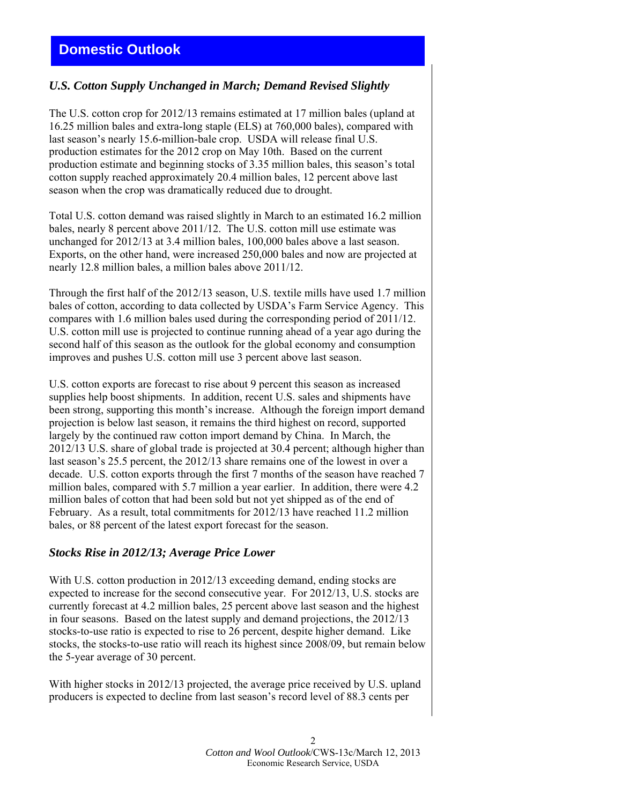## **Domestic Outlook**

## *U.S. Cotton Supply Unchanged in March; Demand Revised Slightly*

The U.S. cotton crop for 2012/13 remains estimated at 17 million bales (upland at 16.25 million bales and extra-long staple (ELS) at 760,000 bales), compared with last season's nearly 15.6-million-bale crop. USDA will release final U.S. production estimates for the 2012 crop on May 10th. Based on the current production estimate and beginning stocks of 3.35 million bales, this season's total cotton supply reached approximately 20.4 million bales, 12 percent above last season when the crop was dramatically reduced due to drought.

Total U.S. cotton demand was raised slightly in March to an estimated 16.2 million bales, nearly 8 percent above 2011/12. The U.S. cotton mill use estimate was unchanged for 2012/13 at 3.4 million bales, 100,000 bales above a last season. Exports, on the other hand, were increased 250,000 bales and now are projected at nearly 12.8 million bales, a million bales above 2011/12.

Through the first half of the 2012/13 season, U.S. textile mills have used 1.7 million bales of cotton, according to data collected by USDA's Farm Service Agency. This compares with 1.6 million bales used during the corresponding period of 2011/12. U.S. cotton mill use is projected to continue running ahead of a year ago during the second half of this season as the outlook for the global economy and consumption improves and pushes U.S. cotton mill use 3 percent above last season.

U.S. cotton exports are forecast to rise about 9 percent this season as increased supplies help boost shipments. In addition, recent U.S. sales and shipments have been strong, supporting this month's increase. Although the foreign import demand projection is below last season, it remains the third highest on record, supported largely by the continued raw cotton import demand by China. In March, the 2012/13 U.S. share of global trade is projected at 30.4 percent; although higher than last season's 25.5 percent, the 2012/13 share remains one of the lowest in over a decade. U.S. cotton exports through the first 7 months of the season have reached 7 million bales, compared with 5.7 million a year earlier. In addition, there were 4.2 million bales of cotton that had been sold but not yet shipped as of the end of February. As a result, total commitments for 2012/13 have reached 11.2 million bales, or 88 percent of the latest export forecast for the season.

### *Stocks Rise in 2012/13; Average Price Lower*

With U.S. cotton production in 2012/13 exceeding demand, ending stocks are expected to increase for the second consecutive year. For 2012/13, U.S. stocks are currently forecast at 4.2 million bales, 25 percent above last season and the highest in four seasons. Based on the latest supply and demand projections, the 2012/13 stocks-to-use ratio is expected to rise to 26 percent, despite higher demand. Like stocks, the stocks-to-use ratio will reach its highest since 2008/09, but remain below the 5-year average of 30 percent.

With higher stocks in 2012/13 projected, the average price received by U.S. upland producers is expected to decline from last season's record level of 88.3 cents per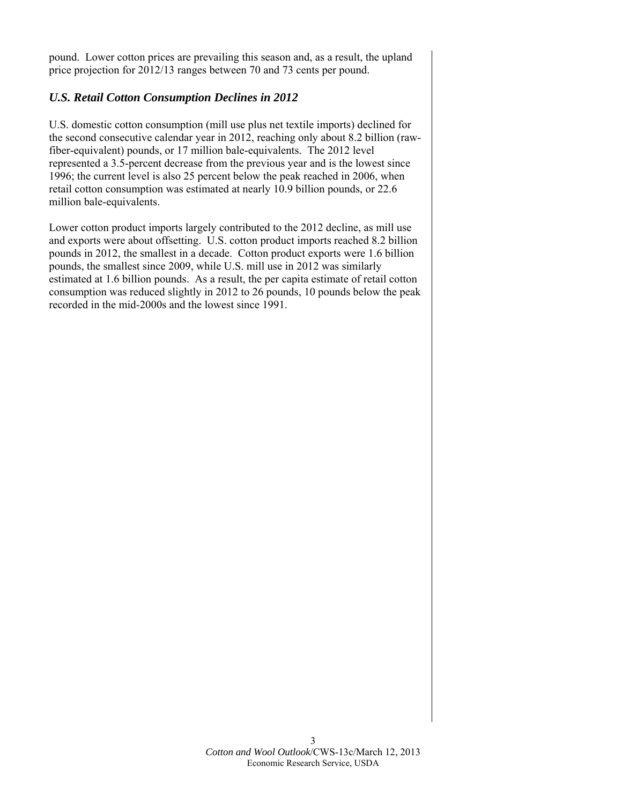pound. Lower cotton prices are prevailing this season and, as a result, the upland price projection for 2012/13 ranges between 70 and 73 cents per pound.

## *U.S. Retail Cotton Consumption Declines in 2012*

U.S. domestic cotton consumption (mill use plus net textile imports) declined for the second consecutive calendar year in 2012, reaching only about 8.2 billion (rawfiber-equivalent) pounds, or 17 million bale-equivalents. The 2012 level represented a 3.5-percent decrease from the previous year and is the lowest since 1996; the current level is also 25 percent below the peak reached in 2006, when retail cotton consumption was estimated at nearly 10.9 billion pounds, or 22.6 million bale-equivalents.

Lower cotton product imports largely contributed to the 2012 decline, as mill use and exports were about offsetting. U.S. cotton product imports reached 8.2 billion pounds in 2012, the smallest in a decade. Cotton product exports were 1.6 billion pounds, the smallest since 2009, while U.S. mill use in 2012 was similarly estimated at 1.6 billion pounds. As a result, the per capita estimate of retail cotton consumption was reduced slightly in 2012 to 26 pounds, 10 pounds below the peak recorded in the mid-2000s and the lowest since 1991.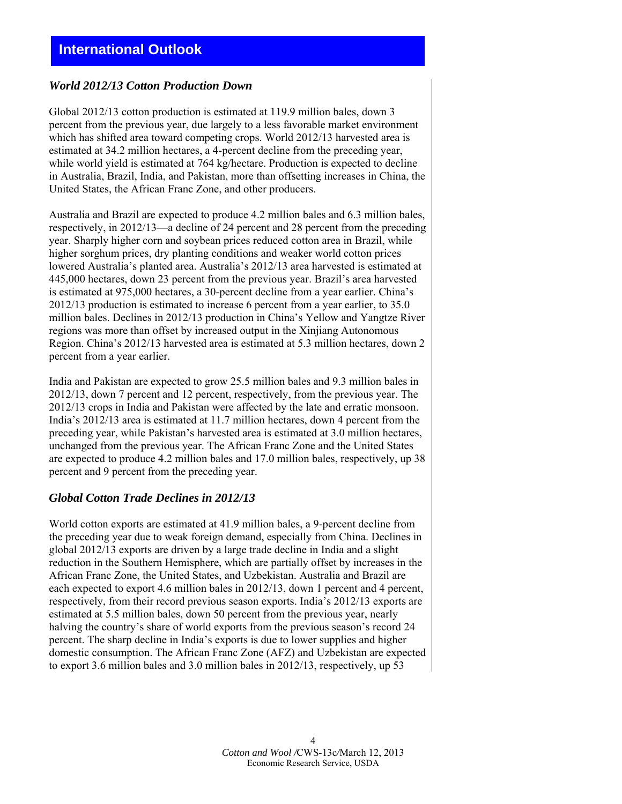## *World 2012/13 Cotton Production Down*

Global 2012/13 cotton production is estimated at 119.9 million bales, down 3 percent from the previous year, due largely to a less favorable market environment which has shifted area toward competing crops. World 2012/13 harvested area is estimated at 34.2 million hectares, a 4-percent decline from the preceding year, while world yield is estimated at 764 kg/hectare. Production is expected to decline in Australia, Brazil, India, and Pakistan, more than offsetting increases in China, the United States, the African Franc Zone, and other producers.

Australia and Brazil are expected to produce 4.2 million bales and 6.3 million bales, respectively, in 2012/13—a decline of 24 percent and 28 percent from the preceding year. Sharply higher corn and soybean prices reduced cotton area in Brazil, while higher sorghum prices, dry planting conditions and weaker world cotton prices lowered Australia's planted area. Australia's 2012/13 area harvested is estimated at 445,000 hectares, down 23 percent from the previous year. Brazil's area harvested is estimated at 975,000 hectares, a 30-percent decline from a year earlier. China's 2012/13 production is estimated to increase 6 percent from a year earlier, to 35.0 million bales. Declines in 2012/13 production in China's Yellow and Yangtze River regions was more than offset by increased output in the Xinjiang Autonomous Region. China's 2012/13 harvested area is estimated at 5.3 million hectares, down 2 percent from a year earlier.

India and Pakistan are expected to grow 25.5 million bales and 9.3 million bales in 2012/13, down 7 percent and 12 percent, respectively, from the previous year. The 2012/13 crops in India and Pakistan were affected by the late and erratic monsoon. India's 2012/13 area is estimated at 11.7 million hectares, down 4 percent from the preceding year, while Pakistan's harvested area is estimated at 3.0 million hectares, unchanged from the previous year. The African Franc Zone and the United States are expected to produce 4.2 million bales and 17.0 million bales, respectively, up 38 percent and 9 percent from the preceding year.

## *Global Cotton Trade Declines in 2012/13*

World cotton exports are estimated at 41.9 million bales, a 9-percent decline from the preceding year due to weak foreign demand, especially from China. Declines in global 2012/13 exports are driven by a large trade decline in India and a slight reduction in the Southern Hemisphere, which are partially offset by increases in the African Franc Zone, the United States, and Uzbekistan. Australia and Brazil are each expected to export 4.6 million bales in 2012/13, down 1 percent and 4 percent, respectively, from their record previous season exports. India's 2012/13 exports are estimated at 5.5 million bales, down 50 percent from the previous year, nearly halving the country's share of world exports from the previous season's record 24 percent. The sharp decline in India's exports is due to lower supplies and higher domestic consumption. The African Franc Zone (AFZ) and Uzbekistan are expected to export 3.6 million bales and 3.0 million bales in 2012/13, respectively, up 53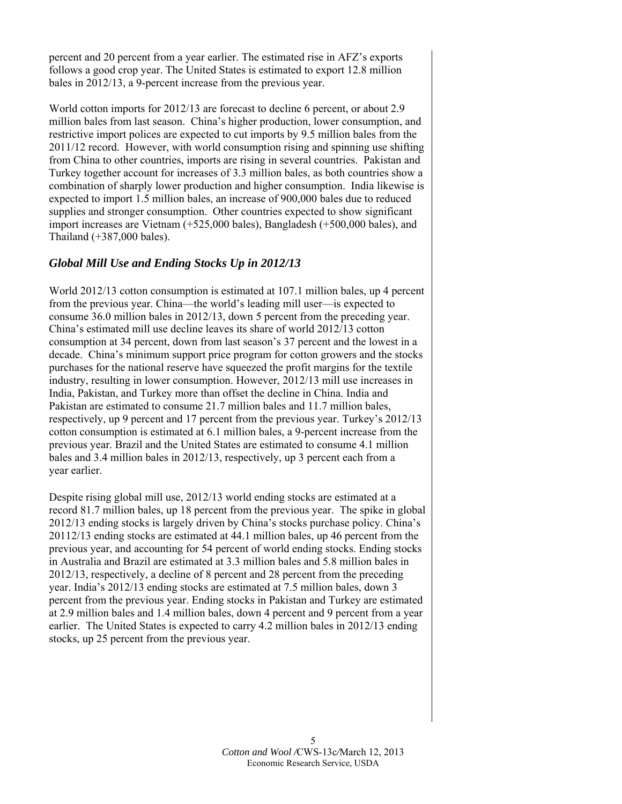percent and 20 percent from a year earlier. The estimated rise in AFZ's exports follows a good crop year. The United States is estimated to export 12.8 million bales in 2012/13, a 9-percent increase from the previous year.

World cotton imports for 2012/13 are forecast to decline 6 percent, or about 2.9 million bales from last season. China's higher production, lower consumption, and restrictive import polices are expected to cut imports by 9.5 million bales from the 2011/12 record. However, with world consumption rising and spinning use shifting from China to other countries, imports are rising in several countries. Pakistan and Turkey together account for increases of 3.3 million bales, as both countries show a combination of sharply lower production and higher consumption. India likewise is expected to import 1.5 million bales, an increase of 900,000 bales due to reduced supplies and stronger consumption. Other countries expected to show significant import increases are Vietnam (+525,000 bales), Bangladesh (+500,000 bales), and Thailand (+387,000 bales).

## *Global Mill Use and Ending Stocks Up in 2012/13*

World 2012/13 cotton consumption is estimated at 107.1 million bales, up 4 percent from the previous year. China—the world's leading mill user—is expected to consume 36.0 million bales in 2012/13, down 5 percent from the preceding year. China's estimated mill use decline leaves its share of world 2012/13 cotton consumption at 34 percent, down from last season's 37 percent and the lowest in a decade. China's minimum support price program for cotton growers and the stocks purchases for the national reserve have squeezed the profit margins for the textile industry, resulting in lower consumption. However, 2012/13 mill use increases in India, Pakistan, and Turkey more than offset the decline in China. India and Pakistan are estimated to consume 21.7 million bales and 11.7 million bales, respectively, up 9 percent and 17 percent from the previous year. Turkey's 2012/13 cotton consumption is estimated at 6.1 million bales, a 9-percent increase from the previous year. Brazil and the United States are estimated to consume 4.1 million bales and 3.4 million bales in 2012/13, respectively, up 3 percent each from a year earlier.

Despite rising global mill use, 2012/13 world ending stocks are estimated at a record 81.7 million bales, up 18 percent from the previous year. The spike in global 2012/13 ending stocks is largely driven by China's stocks purchase policy. China's 20112/13 ending stocks are estimated at 44.1 million bales, up 46 percent from the previous year, and accounting for 54 percent of world ending stocks. Ending stocks in Australia and Brazil are estimated at 3.3 million bales and 5.8 million bales in 2012/13, respectively, a decline of 8 percent and 28 percent from the preceding year. India's 2012/13 ending stocks are estimated at 7.5 million bales, down 3 percent from the previous year. Ending stocks in Pakistan and Turkey are estimated at 2.9 million bales and 1.4 million bales, down 4 percent and 9 percent from a year earlier. The United States is expected to carry 4.2 million bales in 2012/13 ending stocks, up 25 percent from the previous year.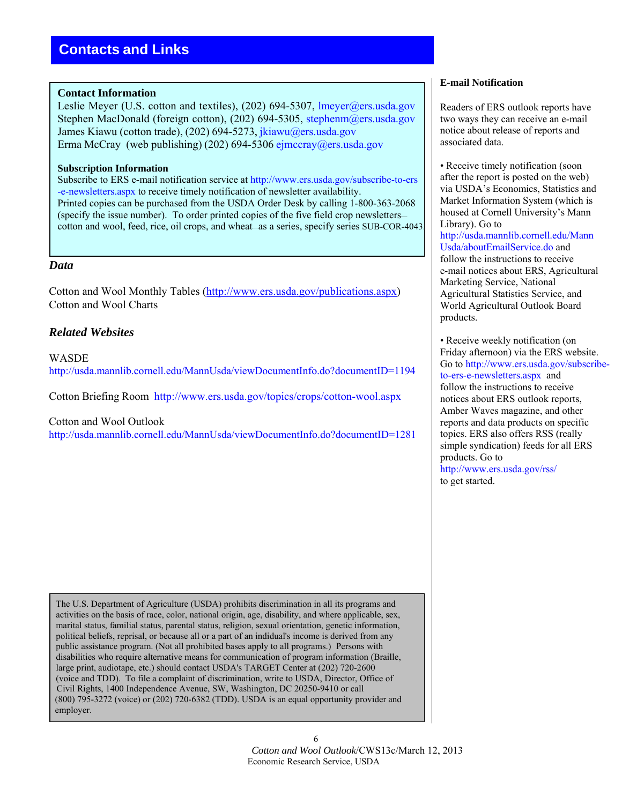#### **Contact Information**

Leslie Meyer (U.S. cotton and textiles), (202) 694-5307, lmeyer@ers.usda.gov Stephen MacDonald (foreign cotton), (202) 694-5305, stephenm@ers.usda.gov James Kiawu (cotton trade), (202) 694-5273, jkiawu@ers.usda.gov Erma McCray (web publishing) (202) 694-5306 ejmccray@ers.usda.gov

#### **Subscription Information**

Subscribe to ERS e-mail notification service at http://www.ers.usda.gov/subscribe-to-ers -e-newsletters.aspx to receive timely notification of newsletter availability. Printed copies can be purchased from the USDA Order Desk by calling 1-800-363-2068 (specify the issue number). To order printed copies of the five field crop newsletters cotton and wool, feed, rice, oil crops, and wheat—as a series, specify series SUB-COR-4043.

#### *Data*

Cotton and Wool Monthly Tables (http://www.ers.usda.gov/publications.aspx) Cotton and Wool Charts

### *Related Websites*

**WASDE** http://usda.mannlib.cornell.edu/MannUsda/viewDocumentInfo.do?documentID=1194

Cotton Briefing Room http://www.ers.usda.gov/topics/crops/cotton-wool.aspx

Cotton and Wool Outlook

http://usda.mannlib.cornell.edu/MannUsda/viewDocumentInfo.do?documentID=1281

 The U.S. Department of Agriculture (USDA) prohibits discrimination in all its programs and activities on the basis of race, color, national origin, age, disability, and where applicable, sex, marital status, familial status, parental status, religion, sexual orientation, genetic information, political beliefs, reprisal, or because all or a part of an indidual's income is derived from any public assistance program. (Not all prohibited bases apply to all programs.) Persons with disabilities who require alternative means for communication of program information (Braille, large print, audiotape, etc.) should contact USDA's TARGET Center at (202) 720-2600 (voice and TDD). To file a complaint of discrimination, write to USDA, Director, Office of Civil Rights, 1400 Independence Avenue, SW, Washington, DC 20250-9410 or call (800) 795-3272 (voice) or (202) 720-6382 (TDD). USDA is an equal opportunity provider and employer.

#### **E-mail Notification**

Readers of ERS outlook reports have two ways they can receive an e-mail notice about release of reports and associated data.

• Receive timely notification (soon) after the report is posted on the web) via USDA's Economics, Statistics and Market Information System (which is housed at Cornell University's Mann Library). Go to http://usda.mannlib.cornell.edu/Mann Usda/aboutEmailService.do and follow the instructions to receive e-mail notices about ERS, Agricultural Marketing Service, National Agricultural Statistics Service, and World Agricultural Outlook Board products.

• Receive weekly notification (on Friday afternoon) via the ERS website. Go to http://www.ers.usda.gov/subscribeto-ers-e-newsletters.aspx and follow the instructions to receive notices about ERS outlook reports, Amber Waves magazine, and other reports and data products on specific topics. ERS also offers RSS (really simple syndication) feeds for all ERS products. Go to http://www.ers.usda.gov/rss/

to get started.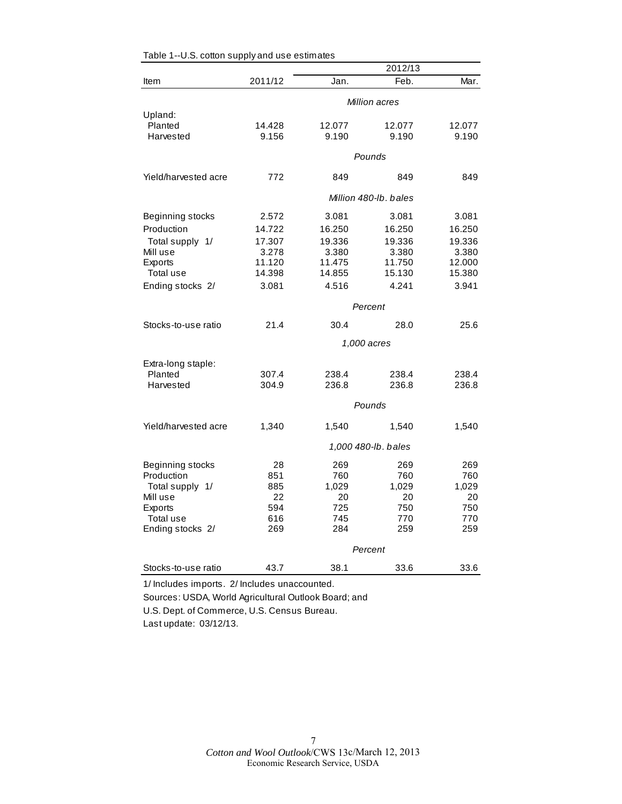|                      |         |        | 2012/13               |        |
|----------------------|---------|--------|-----------------------|--------|
| Item                 | 2011/12 | Jan.   | Feb.                  | Mar.   |
|                      |         |        | Million acres         |        |
| Upland:              |         |        |                       |        |
| Planted              | 14.428  | 12.077 | 12.077                | 12.077 |
| Harvested            | 9.156   | 9.190  | 9.190                 | 9.190  |
|                      |         |        | Pounds                |        |
| Yield/harvested acre | 772     | 849    | 849                   | 849    |
|                      |         |        | Million 480-lb, bales |        |
| Beginning stocks     | 2.572   | 3.081  | 3.081                 | 3.081  |
| Production           | 14.722  | 16.250 | 16.250                | 16.250 |
| Total supply 1/      | 17.307  | 19.336 | 19.336                | 19.336 |
| Mill use             | 3.278   | 3.380  | 3.380                 | 3.380  |
| Exports              | 11.120  | 11.475 | 11.750                | 12.000 |
| Total use            | 14.398  | 14.855 | 15.130                | 15.380 |
| Ending stocks 2/     | 3.081   | 4.516  | 4.241                 | 3.941  |
|                      |         |        | Percent               |        |
| Stocks-to-use ratio  | 21.4    | 30.4   | 28.0                  | 25.6   |
|                      |         |        | 1,000 acres           |        |
| Extra-long staple:   |         |        |                       |        |
| Planted              | 307.4   | 238.4  | 238.4                 | 238.4  |
| Harvested            | 304.9   | 236.8  | 236.8                 | 236.8  |
|                      |         |        | Pounds                |        |
| Yield/harvested acre | 1,340   | 1,540  | 1,540                 | 1,540  |
|                      |         |        | 1,000 480-lb. bales   |        |
| Beginning stocks     | 28      | 269    | 269                   | 269    |
| Production           | 851     | 760    | 760                   | 760    |
| Total supply 1/      | 885     | 1,029  | 1,029                 | 1,029  |
| Mill use             | 22      | 20     | 20                    | 20     |
| Exports              | 594     | 725    | 750                   | 750    |
| Total use            | 616     | 745    | 770                   | 770    |
| Ending stocks 2/     | 269     | 284    | 259                   | 259    |
|                      | Percent |        |                       |        |
| Stocks-to-use ratio  | 43.7    | 38.1   | 33.6                  | 33.6   |

| Table 1--U.S. cotton supply and use estimates |  |  |
|-----------------------------------------------|--|--|
|-----------------------------------------------|--|--|

1/ Includes imports. 2/ Includes unaccounted.

Sources: USDA, World Agricultural Outlook Board; and U.S. Dept. of Commerce, U.S. Census Bureau.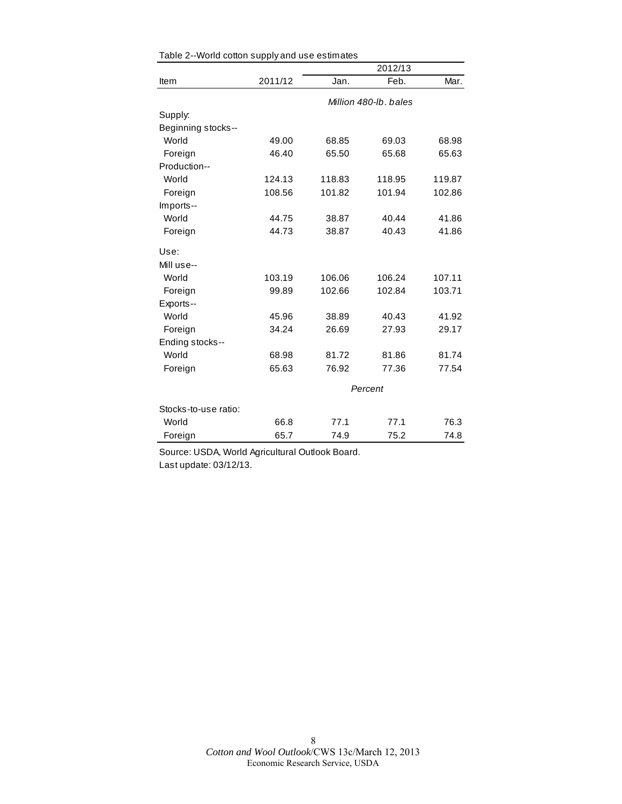|                      |         |         | 2012/13               |        |
|----------------------|---------|---------|-----------------------|--------|
| Item                 | 2011/12 | Jan.    | Feb.                  | Mar.   |
|                      |         |         | Million 480-lb, bales |        |
| Supply:              |         |         |                       |        |
| Beginning stocks--   |         |         |                       |        |
| World                | 49.00   | 68.85   | 69.03                 | 68.98  |
| Foreign              | 46.40   | 65.50   | 65.68                 | 65.63  |
| Production--         |         |         |                       |        |
| World                | 124.13  | 118.83  | 118.95                | 119.87 |
| Foreign              | 108.56  | 101.82  | 101.94                | 102.86 |
| Imports--            |         |         |                       |        |
| World                | 44.75   | 38.87   | 40.44                 | 41.86  |
| Foreign              | 44.73   | 38.87   | 40.43                 | 41.86  |
| Use:                 |         |         |                       |        |
| Mill use--           |         |         |                       |        |
| World                | 103.19  | 106.06  | 106.24                | 107.11 |
| Foreign              | 99.89   | 102.66  | 102.84                | 103.71 |
| Exports--            |         |         |                       |        |
| World                | 45.96   | 38.89   | 40.43                 | 41.92  |
| Foreign              | 34.24   | 26.69   | 27.93                 | 29.17  |
| Ending stocks--      |         |         |                       |        |
| World                | 68.98   | 81.72   | 81.86                 | 81.74  |
| Foreign              | 65.63   | 76.92   | 77.36                 | 77.54  |
|                      |         | Percent |                       |        |
| Stocks-to-use ratio: |         |         |                       |        |
| World                | 66.8    | 77.1    | 77.1                  | 76.3   |
| Foreign              | 65.7    | 74.9    | 75.2                  | 74.8   |

Source: USDA, World Agricultural Outlook Board. Last update: 03/12/13.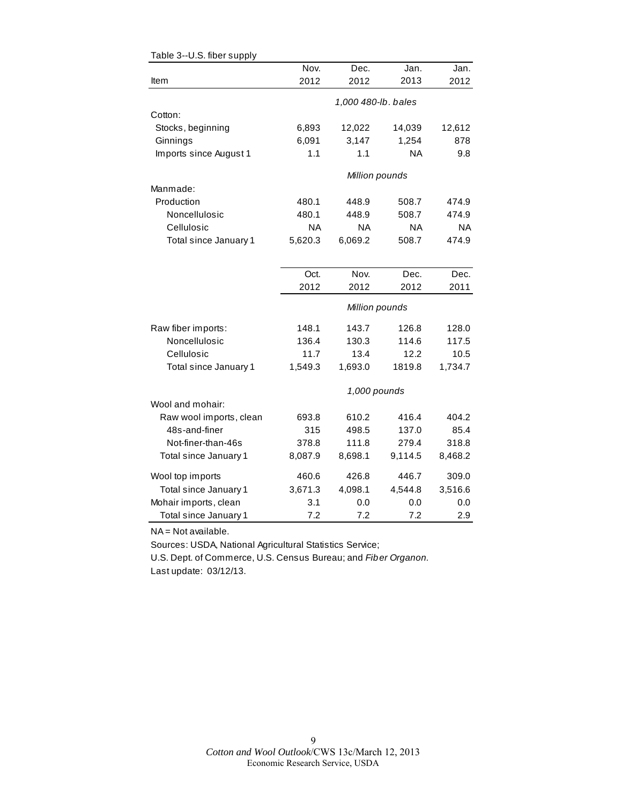|                         | Nov.      | Dec.                | Jan.      | Jan.      |
|-------------------------|-----------|---------------------|-----------|-----------|
| Item                    | 2012      | 2012                | 2013      | 2012      |
|                         |           | 1,000 480-lb. bales |           |           |
| Cotton:                 |           |                     |           |           |
| Stocks, beginning       | 6,893     | 12,022              | 14,039    | 12,612    |
| Ginnings                | 6,091     | 3,147               | 1,254     | 878       |
| Imports since August 1  | 1.1       | 1.1                 | <b>NA</b> | 9.8       |
|                         |           | Million pounds      |           |           |
| Manmade:                |           |                     |           |           |
| Production              | 480.1     | 448.9               | 508.7     | 474.9     |
| Noncellulosic           | 480.1     | 448.9               | 508.7     | 474.9     |
| Cellulosic              | <b>NA</b> | <b>NA</b>           | <b>NA</b> | <b>NA</b> |
| Total since January 1   | 5,620.3   | 6,069.2             | 508.7     | 474.9     |
|                         |           |                     |           |           |
|                         | Oct.      | Nov.                | Dec.      | Dec.      |
|                         | 2012      | 2012                | 2012      | 2011      |
|                         |           | Million pounds      |           |           |
| Raw fiber imports:      | 148.1     | 143.7               | 126.8     | 128.0     |
| Noncellulosic           | 136.4     | 130.3               | 114.6     | 117.5     |
| Cellulosic              | 11.7      | 13.4                | 12.2      | 10.5      |
| Total since January 1   | 1,549.3   | 1,693.0             | 1819.8    | 1,734.7   |
|                         |           | 1,000 pounds        |           |           |
| Wool and mohair:        |           |                     |           |           |
| Raw wool imports, clean | 693.8     | 610.2               | 416.4     | 404.2     |
| 48s-and-finer           | 315       | 498.5               | 137.0     | 85.4      |
| Not-finer-than-46s      | 378.8     | 111.8               | 279.4     | 318.8     |
| Total since January 1   | 8,087.9   | 8,698.1             | 9,114.5   | 8,468.2   |
| Wool top imports        | 460.6     | 426.8               | 446.7     | 309.0     |
| Total since January 1   | 3,671.3   | 4,098.1             | 4,544.8   | 3,516.6   |
| Mohair imports, clean   | 3.1       | 0.0                 | 0.0       | 0.0       |
| Total since January 1   | 7.2       | 7.2                 | 7.2       | 2.9       |

#### Table 3--U.S. fiber supply

NA = Not available.

Sources: USDA, National Agricultural Statistics Service;

U.S. Dept. of Commerce, U.S. Census Bureau; and *Fiber Organon.* Last update: 03/12/13.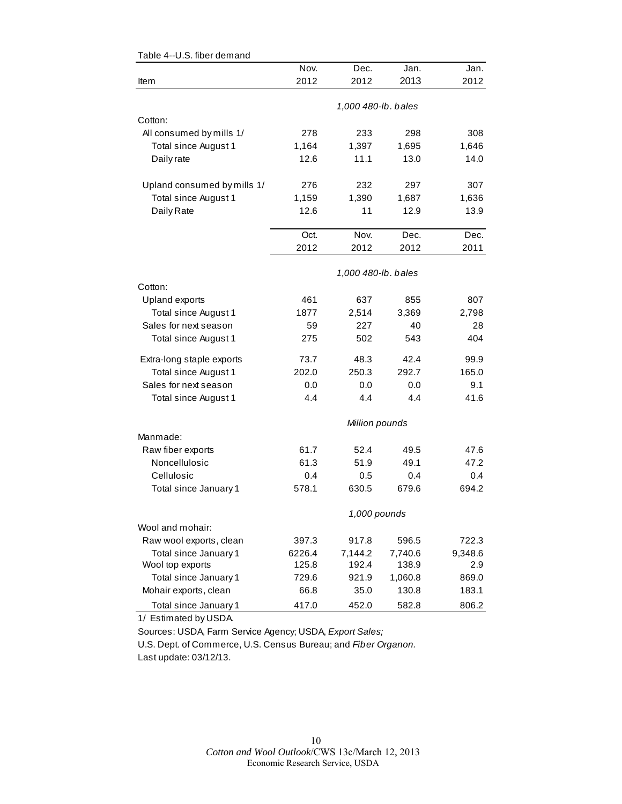| Table 4--0.3. liber demand  |        |                     |                     |         |
|-----------------------------|--------|---------------------|---------------------|---------|
|                             | Nov.   | Dec.                | Jan.                | Jan.    |
| Item                        | 2012   | 2012                | 2013                | 2012    |
|                             |        |                     |                     |         |
|                             |        | 1,000 480-lb. bales |                     |         |
| Cotton:                     |        |                     |                     |         |
| All consumed by mills 1/    | 278    | 233                 | 298                 | 308     |
| Total since August 1        | 1,164  | 1,397               | 1,695               | 1,646   |
| Daily rate                  | 12.6   | 11.1                | 13.0                | 14.0    |
| Upland consumed by mills 1/ | 276    | 232                 | 297                 | 307     |
| Total since August 1        | 1,159  | 1,390               | 1,687               | 1,636   |
| Daily Rate                  | 12.6   | 11                  | 12.9                | 13.9    |
|                             |        |                     |                     |         |
|                             | Oct.   | Nov.                | Dec.                | Dec.    |
|                             | 2012   | 2012                | 2012                | 2011    |
|                             |        |                     | 1,000 480-lb. bales |         |
| Cotton:                     |        |                     |                     |         |
| Upland exports              | 461    | 637                 | 855                 | 807     |
| Total since August 1        | 1877   | 2,514               | 3,369               | 2,798   |
| Sales for next season       | 59     | 227                 | 40                  | 28      |
| Total since August 1        | 275    | 502                 | 543                 | 404     |
| Extra-long staple exports   | 73.7   | 48.3                | 42.4                | 99.9    |
| Total since August 1        | 202.0  | 250.3               | 292.7               | 165.0   |
| Sales for next season       | 0.0    | 0.0                 | 0.0                 | 9.1     |
| Total since August 1        | 4.4    | 4.4                 | 4.4                 | 41.6    |
|                             |        |                     |                     |         |
|                             |        | Million pounds      |                     |         |
| Manmade:                    |        |                     |                     |         |
| Raw fiber exports           | 61.7   | 52.4                | 49.5                | 47.6    |
| Noncellulosic               | 61.3   | 51.9                | 49.1                | 47.2    |
| Cellulosic                  | 0.4    | 0.5                 | 0.4                 | 0.4     |
| Total since January 1       | 578.1  | 630.5               | 679.6               | 694.2   |
|                             |        |                     | 1,000 pounds        |         |
| Wool and mohair:            |        |                     |                     |         |
| Raw wool exports, clean     | 397.3  | 917.8               | 596.5               | 722.3   |
| Total since January 1       | 6226.4 | 7,144.2             | 7,740.6             | 9,348.6 |
| Wool top exports            | 125.8  | 192.4               | 138.9               | 2.9     |
| Total since January 1       | 729.6  | 921.9               | 1,060.8             | 869.0   |
| Mohair exports, clean       | 66.8   | 35.0                | 130.8               | 183.1   |
| Total since January 1       | 417.0  | 452.0               | 582.8               | 806.2   |
|                             |        |                     |                     |         |

Table 4--U.S. fiber demand

1/ Estimated by USDA.

Sources: USDA, Farm Service Agency; USDA, *Export Sales;*

U.S. Dept. of Commerce, U.S. Census Bureau; and *Fiber Organon.* Last update: 03/12/13.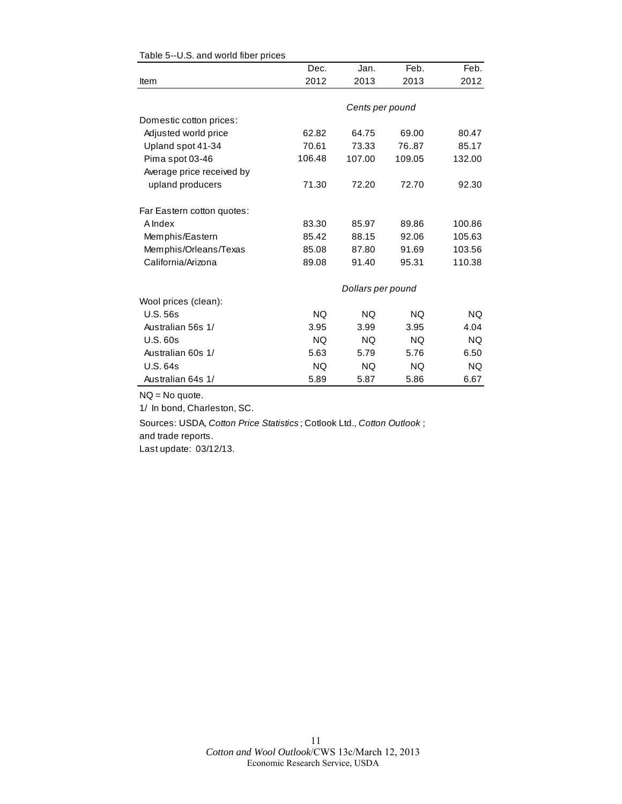|                            | Dec.      | Jan.              | Feb.      | Feb.      |
|----------------------------|-----------|-------------------|-----------|-----------|
| Item                       | 2012      | 2013              | 2013      | 2012      |
|                            |           |                   |           |           |
|                            |           | Cents per pound   |           |           |
| Domestic cotton prices:    |           |                   |           |           |
| Adjusted world price       | 62.82     | 64.75             | 69.00     | 80.47     |
| Upland spot 41-34          | 70.61     | 73.33             | 76.87     | 85.17     |
| Pima spot 03-46            | 106.48    | 107.00            | 109.05    | 132.00    |
| Average price received by  |           |                   |           |           |
| upland producers           | 71.30     | 72.20             | 72.70     | 92.30     |
| Far Eastern cotton quotes: |           |                   |           |           |
| <b>A</b> Index             | 83.30     | 85.97             | 89.86     | 100.86    |
| Memphis/Eastern            | 85.42     | 88.15             | 92.06     | 105.63    |
| Memphis/Orleans/Texas      | 85.08     | 87.80             | 91.69     | 103.56    |
| California/Arizona         | 89.08     | 91.40             | 95.31     | 110.38    |
|                            |           | Dollars per pound |           |           |
| Wool prices (clean):       |           |                   |           |           |
| <b>U.S. 56s</b>            | <b>NQ</b> | <b>NQ</b>         | NQ.       | <b>NQ</b> |
| Australian 56s 1/          | 3.95      | 3.99              | 3.95      | 4.04      |
| <b>U.S. 60s</b>            | <b>NQ</b> | <b>NQ</b>         | <b>NQ</b> | <b>NQ</b> |
| Australian 60s 1/          | 5.63      | 5.79              | 5.76      | 6.50      |
| U.S. 64s                   | <b>NQ</b> | NQ.               | NQ.       | <b>NQ</b> |
| Australian 64s 1/          | 5.89      | 5.87              | 5.86      | 6.67      |

#### Table 5--U.S. and world fiber prices

NQ = No quote.

1/ In bond, Charleston, SC.

Sources: USDA, *Cotton Price Statistics* ; Cotlook Ltd., *Cotton Outlook* ; and trade reports.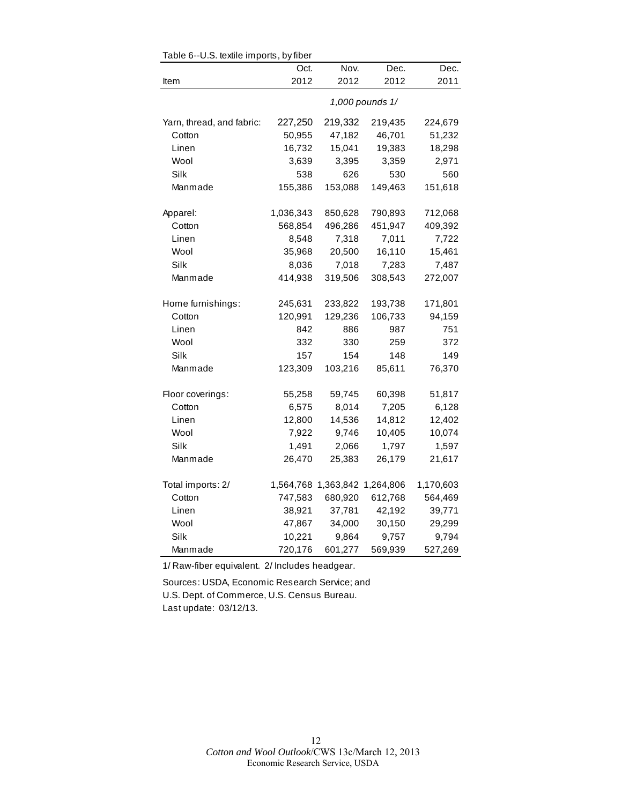| rable o--o.o. lexille imports, by liber<br>Nov.<br>Oct.<br>Dec.<br>Dec. |                 |                               |         |           |  |  |
|-------------------------------------------------------------------------|-----------------|-------------------------------|---------|-----------|--|--|
| Item                                                                    | 2012            | 2012                          | 2012    | 2011      |  |  |
|                                                                         |                 |                               |         |           |  |  |
|                                                                         | 1,000 pounds 1/ |                               |         |           |  |  |
| Yarn, thread, and fabric:                                               | 227,250         | 219,332                       | 219,435 | 224,679   |  |  |
| Cotton                                                                  | 50,955          | 47,182                        | 46,701  | 51,232    |  |  |
| Linen                                                                   | 16,732          | 15,041                        | 19,383  | 18,298    |  |  |
| Wool                                                                    | 3,639           | 3,395                         | 3,359   | 2,971     |  |  |
| Silk                                                                    | 538             | 626                           | 530     | 560       |  |  |
| Manmade                                                                 | 155,386         | 153,088                       | 149,463 | 151,618   |  |  |
| Apparel:                                                                | 1,036,343       | 850,628                       | 790,893 | 712,068   |  |  |
| Cotton                                                                  | 568,854         | 496,286                       | 451,947 | 409,392   |  |  |
| Linen                                                                   | 8,548           | 7,318                         | 7,011   | 7,722     |  |  |
| Wool                                                                    | 35,968          | 20,500                        | 16,110  | 15,461    |  |  |
| Silk                                                                    | 8,036           | 7,018                         | 7,283   | 7,487     |  |  |
| Manmade                                                                 | 414,938         | 319,506                       | 308,543 | 272,007   |  |  |
|                                                                         |                 |                               |         |           |  |  |
| Home furnishings:                                                       | 245,631         | 233,822                       | 193,738 | 171,801   |  |  |
| Cotton                                                                  | 120,991         | 129,236                       | 106,733 | 94,159    |  |  |
| Linen                                                                   | 842             | 886                           | 987     | 751       |  |  |
| Wool                                                                    | 332             | 330                           | 259     | 372       |  |  |
| Silk                                                                    | 157             | 154                           | 148     | 149       |  |  |
| Manmade                                                                 | 123,309         | 103,216                       | 85,611  | 76,370    |  |  |
| Floor coverings:                                                        | 55,258          | 59,745                        | 60,398  | 51,817    |  |  |
| Cotton                                                                  | 6,575           | 8,014                         | 7,205   | 6,128     |  |  |
| Linen                                                                   | 12,800          | 14,536                        | 14,812  | 12,402    |  |  |
| Wool                                                                    | 7,922           | 9,746                         | 10,405  | 10,074    |  |  |
| Silk                                                                    | 1,491           | 2,066                         | 1,797   | 1,597     |  |  |
| Manmade                                                                 | 26,470          | 25,383                        | 26,179  | 21,617    |  |  |
|                                                                         |                 |                               |         |           |  |  |
| Total imports: 2/                                                       |                 | 1,564,768 1,363,842 1,264,806 |         | 1,170,603 |  |  |
| Cotton                                                                  | 747,583         | 680,920                       | 612,768 | 564,469   |  |  |
| Linen                                                                   | 38,921          | 37,781                        | 42,192  | 39,771    |  |  |
| Wool                                                                    | 47,867          | 34,000                        | 30,150  | 29,299    |  |  |
| Silk                                                                    | 10,221          | 9,864                         | 9,757   | 9,794     |  |  |
| Manmade                                                                 | 720,176         | 601,277                       | 569,939 | 527,269   |  |  |

Table 6--U.S. textile imports, by fiber

1/ Raw-fiber equivalent. 2/ Includes headgear.

Sources: USDA, Economic Research Service; and U.S. Dept. of Commerce, U.S. Census Bureau. Last update: 03/12/13.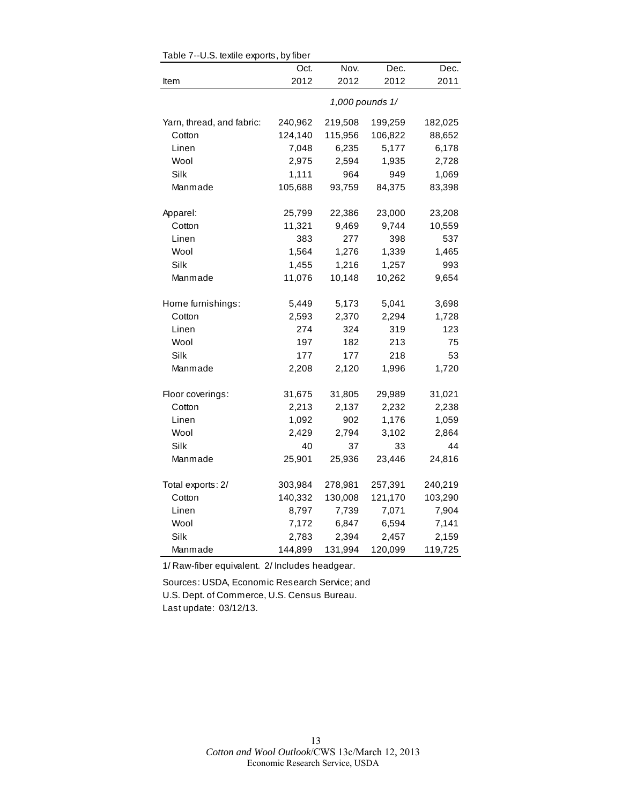|                           | Oct.            | Nov.    | Dec.    | Dec.    |  |  |
|---------------------------|-----------------|---------|---------|---------|--|--|
| Item                      | 2012            | 2012    | 2012    | 2011    |  |  |
|                           | 1,000 pounds 1/ |         |         |         |  |  |
| Yarn, thread, and fabric: | 240,962         | 219,508 | 199,259 | 182,025 |  |  |
| Cotton                    | 124,140         | 115,956 | 106,822 | 88,652  |  |  |
| Linen                     | 7,048           | 6,235   | 5,177   | 6,178   |  |  |
| Wool                      | 2,975           | 2,594   | 1,935   | 2,728   |  |  |
| Silk                      | 1,111           | 964     | 949     | 1,069   |  |  |
| Manmade                   | 105,688         | 93,759  | 84,375  | 83,398  |  |  |
| Apparel:                  | 25,799          | 22,386  | 23,000  | 23,208  |  |  |
| Cotton                    | 11,321          | 9,469   | 9,744   | 10,559  |  |  |
| Linen                     | 383             | 277     | 398     | 537     |  |  |
| Wool                      | 1,564           | 1,276   | 1,339   | 1,465   |  |  |
| Silk                      | 1,455           | 1,216   | 1,257   | 993     |  |  |
| Manmade                   | 11,076          | 10,148  | 10,262  | 9,654   |  |  |
| Home furnishings:         | 5,449           | 5,173   | 5,041   | 3,698   |  |  |
| Cotton                    | 2,593           | 2,370   | 2,294   | 1,728   |  |  |
| Linen                     | 274             | 324     | 319     | 123     |  |  |
| Wool                      | 197             | 182     | 213     | 75      |  |  |
| Silk                      | 177             | 177     | 218     | 53      |  |  |
| Manmade                   | 2,208           | 2,120   | 1,996   | 1,720   |  |  |
| Floor coverings:          | 31,675          | 31,805  | 29,989  | 31,021  |  |  |
| Cotton                    | 2,213           | 2,137   | 2,232   | 2,238   |  |  |
| Linen                     | 1,092           | 902     | 1,176   | 1,059   |  |  |
| Wool                      | 2,429           | 2,794   | 3,102   | 2,864   |  |  |
| Silk                      | 40              | 37      | 33      | 44      |  |  |
| Manmade                   | 25,901          | 25,936  | 23,446  | 24,816  |  |  |
| Total exports: 2/         | 303,984         | 278,981 | 257,391 | 240,219 |  |  |
| Cotton                    | 140,332         | 130,008 | 121,170 | 103,290 |  |  |
| Linen                     | 8,797           | 7,739   | 7,071   | 7,904   |  |  |
| Wool                      | 7,172           | 6,847   | 6,594   | 7,141   |  |  |
| Silk                      | 2,783           | 2,394   | 2,457   | 2,159   |  |  |
| Manmade                   | 144,899         | 131,994 | 120,099 | 119,725 |  |  |

Table 7--U.S. textile exports, by fiber

1/ Raw-fiber equivalent. 2/ Includes headgear.

Sources: USDA, Economic Research Service; and U.S. Dept. of Commerce, U.S. Census Bureau. Last update: 03/12/13.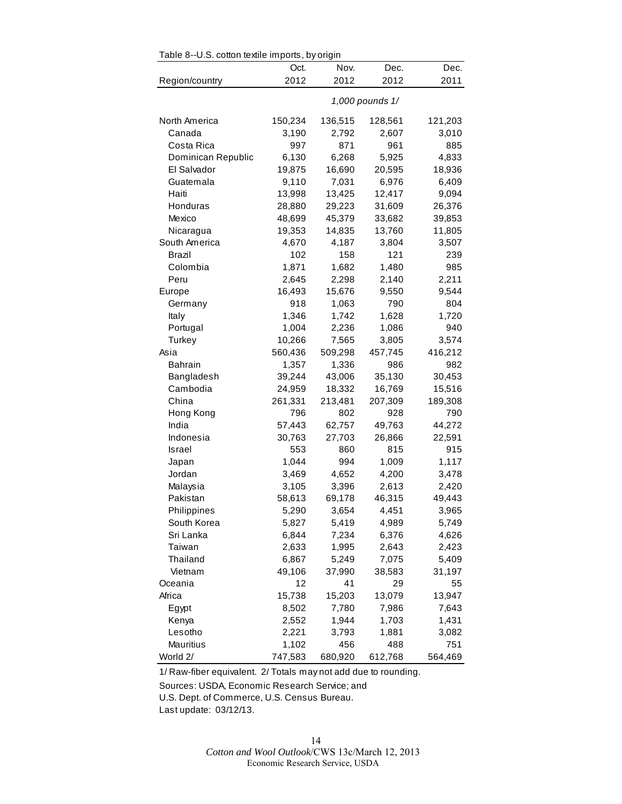| Oct.<br>Nov.<br>Dec.<br>Dec.<br>2012<br>2012<br>2012<br>Region/country<br>2011<br>1,000 pounds 1/<br>North America<br>150,234<br>121,203<br>136,515<br>128,561<br>Canada<br>3,190<br>2,792<br>2,607<br>3,010<br>997<br>871<br>Costa Rica<br>961<br>885<br>6,130<br>6,268<br>5,925<br>4,833<br>Dominican Republic<br>El Salvador<br>19,875<br>16,690<br>20,595<br>18,936<br>9,110<br>7,031<br>6,976<br>6,409<br>Guatemala<br>Haiti<br>13,998<br>13,425<br>12,417<br>9,094<br>28,880<br>31,609<br>26,376<br>Honduras<br>29,223<br>48,699<br>45,379<br>39,853<br>Mexico<br>33,682<br>19,353<br>13,760<br>11,805<br>Nicaragua<br>14,835<br>South America<br>4,670<br>4,187<br>3,507<br>3,804<br>Brazil<br>102<br>158<br>121<br>239<br>Colombia<br>1,871<br>1,682<br>1,480<br>985<br>Peru<br>2,645<br>2,140<br>2,211<br>2,298<br>16,493<br>15,676<br>9,544<br>Europe<br>9,550<br>918<br>1,063<br>790<br>804<br>Germany<br>1,742<br>1,346<br>1,628<br>1,720<br>Italy<br>1,004<br>1,086<br>940<br>Portugal<br>2,236<br>10,266<br>7,565<br>3,805<br>3,574<br>Turkey<br>416,212<br>560,436<br>509,298<br>457,745<br>Asia<br>1,357<br>1,336<br>982<br><b>Bahrain</b><br>986<br>39,244<br>43,006<br>35,130<br>30,453<br>Bangladesh<br>Cambodia<br>24,959<br>18,332<br>16,769<br>15,516<br>China<br>261,331<br>213,481<br>207,309<br>189,308<br>796<br>802<br>928<br>790<br>Hong Kong<br>India<br>57,443<br>62,757<br>49,763<br>44,272<br>Indonesia<br>30,763<br>27,703<br>26,866<br>22,591<br>553<br>860<br>815<br>915<br>Israel<br>994<br>1,044<br>1,009<br>1,117<br>Japan<br>Jordan<br>4,652<br>4,200<br>3,469<br>3,478<br>Malaysia<br>3,105<br>3,396<br>2,613<br>2,420<br>Pakistan<br>58,613<br>69,178<br>46,315<br>49,443<br>Philippines<br>5,290<br>3,654<br>4,451<br>3,965<br>South Korea<br>5,827<br>5,419<br>4,989<br>5,749<br>Sri Lanka<br>6,844<br>7,234<br>6,376<br>4,626<br>1,995<br>2,643<br>2,423<br>Taiwan<br>2,633<br>Thailand<br>6,867<br>5,249<br>7,075<br>5,409<br>Vietnam<br>49,106<br>37,990<br>38,583<br>31,197<br>Oceania<br>12<br>41<br>29<br>55<br>Africa<br>15,738<br>15,203<br>13,079<br>13,947<br>8,502<br>7,780<br>7,986<br>7,643<br>Egypt<br>Kenya<br>2,552<br>1,944<br>1,703<br>1,431<br>Lesotho<br>2,221<br>3,793<br>1,881<br>3,082<br>Mauritius<br>1,102<br>751<br>456<br>488 |          | Table 8--U.S. cotton textile imports, by origin |         |         |         |  |  |  |
|-----------------------------------------------------------------------------------------------------------------------------------------------------------------------------------------------------------------------------------------------------------------------------------------------------------------------------------------------------------------------------------------------------------------------------------------------------------------------------------------------------------------------------------------------------------------------------------------------------------------------------------------------------------------------------------------------------------------------------------------------------------------------------------------------------------------------------------------------------------------------------------------------------------------------------------------------------------------------------------------------------------------------------------------------------------------------------------------------------------------------------------------------------------------------------------------------------------------------------------------------------------------------------------------------------------------------------------------------------------------------------------------------------------------------------------------------------------------------------------------------------------------------------------------------------------------------------------------------------------------------------------------------------------------------------------------------------------------------------------------------------------------------------------------------------------------------------------------------------------------------------------------------------------------------------------------------------------------------------------------------------------------------------------------------------------------------------------------------------------------------------------------------------------------------------------------------------------------------------------------------------------------------------------------------------|----------|-------------------------------------------------|---------|---------|---------|--|--|--|
|                                                                                                                                                                                                                                                                                                                                                                                                                                                                                                                                                                                                                                                                                                                                                                                                                                                                                                                                                                                                                                                                                                                                                                                                                                                                                                                                                                                                                                                                                                                                                                                                                                                                                                                                                                                                                                                                                                                                                                                                                                                                                                                                                                                                                                                                                                     |          |                                                 |         |         |         |  |  |  |
|                                                                                                                                                                                                                                                                                                                                                                                                                                                                                                                                                                                                                                                                                                                                                                                                                                                                                                                                                                                                                                                                                                                                                                                                                                                                                                                                                                                                                                                                                                                                                                                                                                                                                                                                                                                                                                                                                                                                                                                                                                                                                                                                                                                                                                                                                                     |          |                                                 |         |         |         |  |  |  |
|                                                                                                                                                                                                                                                                                                                                                                                                                                                                                                                                                                                                                                                                                                                                                                                                                                                                                                                                                                                                                                                                                                                                                                                                                                                                                                                                                                                                                                                                                                                                                                                                                                                                                                                                                                                                                                                                                                                                                                                                                                                                                                                                                                                                                                                                                                     |          |                                                 |         |         |         |  |  |  |
|                                                                                                                                                                                                                                                                                                                                                                                                                                                                                                                                                                                                                                                                                                                                                                                                                                                                                                                                                                                                                                                                                                                                                                                                                                                                                                                                                                                                                                                                                                                                                                                                                                                                                                                                                                                                                                                                                                                                                                                                                                                                                                                                                                                                                                                                                                     |          |                                                 |         |         |         |  |  |  |
|                                                                                                                                                                                                                                                                                                                                                                                                                                                                                                                                                                                                                                                                                                                                                                                                                                                                                                                                                                                                                                                                                                                                                                                                                                                                                                                                                                                                                                                                                                                                                                                                                                                                                                                                                                                                                                                                                                                                                                                                                                                                                                                                                                                                                                                                                                     |          |                                                 |         |         |         |  |  |  |
|                                                                                                                                                                                                                                                                                                                                                                                                                                                                                                                                                                                                                                                                                                                                                                                                                                                                                                                                                                                                                                                                                                                                                                                                                                                                                                                                                                                                                                                                                                                                                                                                                                                                                                                                                                                                                                                                                                                                                                                                                                                                                                                                                                                                                                                                                                     |          |                                                 |         |         |         |  |  |  |
|                                                                                                                                                                                                                                                                                                                                                                                                                                                                                                                                                                                                                                                                                                                                                                                                                                                                                                                                                                                                                                                                                                                                                                                                                                                                                                                                                                                                                                                                                                                                                                                                                                                                                                                                                                                                                                                                                                                                                                                                                                                                                                                                                                                                                                                                                                     |          |                                                 |         |         |         |  |  |  |
|                                                                                                                                                                                                                                                                                                                                                                                                                                                                                                                                                                                                                                                                                                                                                                                                                                                                                                                                                                                                                                                                                                                                                                                                                                                                                                                                                                                                                                                                                                                                                                                                                                                                                                                                                                                                                                                                                                                                                                                                                                                                                                                                                                                                                                                                                                     |          |                                                 |         |         |         |  |  |  |
|                                                                                                                                                                                                                                                                                                                                                                                                                                                                                                                                                                                                                                                                                                                                                                                                                                                                                                                                                                                                                                                                                                                                                                                                                                                                                                                                                                                                                                                                                                                                                                                                                                                                                                                                                                                                                                                                                                                                                                                                                                                                                                                                                                                                                                                                                                     |          |                                                 |         |         |         |  |  |  |
|                                                                                                                                                                                                                                                                                                                                                                                                                                                                                                                                                                                                                                                                                                                                                                                                                                                                                                                                                                                                                                                                                                                                                                                                                                                                                                                                                                                                                                                                                                                                                                                                                                                                                                                                                                                                                                                                                                                                                                                                                                                                                                                                                                                                                                                                                                     |          |                                                 |         |         |         |  |  |  |
|                                                                                                                                                                                                                                                                                                                                                                                                                                                                                                                                                                                                                                                                                                                                                                                                                                                                                                                                                                                                                                                                                                                                                                                                                                                                                                                                                                                                                                                                                                                                                                                                                                                                                                                                                                                                                                                                                                                                                                                                                                                                                                                                                                                                                                                                                                     |          |                                                 |         |         |         |  |  |  |
|                                                                                                                                                                                                                                                                                                                                                                                                                                                                                                                                                                                                                                                                                                                                                                                                                                                                                                                                                                                                                                                                                                                                                                                                                                                                                                                                                                                                                                                                                                                                                                                                                                                                                                                                                                                                                                                                                                                                                                                                                                                                                                                                                                                                                                                                                                     |          |                                                 |         |         |         |  |  |  |
|                                                                                                                                                                                                                                                                                                                                                                                                                                                                                                                                                                                                                                                                                                                                                                                                                                                                                                                                                                                                                                                                                                                                                                                                                                                                                                                                                                                                                                                                                                                                                                                                                                                                                                                                                                                                                                                                                                                                                                                                                                                                                                                                                                                                                                                                                                     |          |                                                 |         |         |         |  |  |  |
|                                                                                                                                                                                                                                                                                                                                                                                                                                                                                                                                                                                                                                                                                                                                                                                                                                                                                                                                                                                                                                                                                                                                                                                                                                                                                                                                                                                                                                                                                                                                                                                                                                                                                                                                                                                                                                                                                                                                                                                                                                                                                                                                                                                                                                                                                                     |          |                                                 |         |         |         |  |  |  |
|                                                                                                                                                                                                                                                                                                                                                                                                                                                                                                                                                                                                                                                                                                                                                                                                                                                                                                                                                                                                                                                                                                                                                                                                                                                                                                                                                                                                                                                                                                                                                                                                                                                                                                                                                                                                                                                                                                                                                                                                                                                                                                                                                                                                                                                                                                     |          |                                                 |         |         |         |  |  |  |
|                                                                                                                                                                                                                                                                                                                                                                                                                                                                                                                                                                                                                                                                                                                                                                                                                                                                                                                                                                                                                                                                                                                                                                                                                                                                                                                                                                                                                                                                                                                                                                                                                                                                                                                                                                                                                                                                                                                                                                                                                                                                                                                                                                                                                                                                                                     |          |                                                 |         |         |         |  |  |  |
|                                                                                                                                                                                                                                                                                                                                                                                                                                                                                                                                                                                                                                                                                                                                                                                                                                                                                                                                                                                                                                                                                                                                                                                                                                                                                                                                                                                                                                                                                                                                                                                                                                                                                                                                                                                                                                                                                                                                                                                                                                                                                                                                                                                                                                                                                                     |          |                                                 |         |         |         |  |  |  |
|                                                                                                                                                                                                                                                                                                                                                                                                                                                                                                                                                                                                                                                                                                                                                                                                                                                                                                                                                                                                                                                                                                                                                                                                                                                                                                                                                                                                                                                                                                                                                                                                                                                                                                                                                                                                                                                                                                                                                                                                                                                                                                                                                                                                                                                                                                     |          |                                                 |         |         |         |  |  |  |
|                                                                                                                                                                                                                                                                                                                                                                                                                                                                                                                                                                                                                                                                                                                                                                                                                                                                                                                                                                                                                                                                                                                                                                                                                                                                                                                                                                                                                                                                                                                                                                                                                                                                                                                                                                                                                                                                                                                                                                                                                                                                                                                                                                                                                                                                                                     |          |                                                 |         |         |         |  |  |  |
|                                                                                                                                                                                                                                                                                                                                                                                                                                                                                                                                                                                                                                                                                                                                                                                                                                                                                                                                                                                                                                                                                                                                                                                                                                                                                                                                                                                                                                                                                                                                                                                                                                                                                                                                                                                                                                                                                                                                                                                                                                                                                                                                                                                                                                                                                                     |          |                                                 |         |         |         |  |  |  |
|                                                                                                                                                                                                                                                                                                                                                                                                                                                                                                                                                                                                                                                                                                                                                                                                                                                                                                                                                                                                                                                                                                                                                                                                                                                                                                                                                                                                                                                                                                                                                                                                                                                                                                                                                                                                                                                                                                                                                                                                                                                                                                                                                                                                                                                                                                     |          |                                                 |         |         |         |  |  |  |
|                                                                                                                                                                                                                                                                                                                                                                                                                                                                                                                                                                                                                                                                                                                                                                                                                                                                                                                                                                                                                                                                                                                                                                                                                                                                                                                                                                                                                                                                                                                                                                                                                                                                                                                                                                                                                                                                                                                                                                                                                                                                                                                                                                                                                                                                                                     |          |                                                 |         |         |         |  |  |  |
|                                                                                                                                                                                                                                                                                                                                                                                                                                                                                                                                                                                                                                                                                                                                                                                                                                                                                                                                                                                                                                                                                                                                                                                                                                                                                                                                                                                                                                                                                                                                                                                                                                                                                                                                                                                                                                                                                                                                                                                                                                                                                                                                                                                                                                                                                                     |          |                                                 |         |         |         |  |  |  |
|                                                                                                                                                                                                                                                                                                                                                                                                                                                                                                                                                                                                                                                                                                                                                                                                                                                                                                                                                                                                                                                                                                                                                                                                                                                                                                                                                                                                                                                                                                                                                                                                                                                                                                                                                                                                                                                                                                                                                                                                                                                                                                                                                                                                                                                                                                     |          |                                                 |         |         |         |  |  |  |
|                                                                                                                                                                                                                                                                                                                                                                                                                                                                                                                                                                                                                                                                                                                                                                                                                                                                                                                                                                                                                                                                                                                                                                                                                                                                                                                                                                                                                                                                                                                                                                                                                                                                                                                                                                                                                                                                                                                                                                                                                                                                                                                                                                                                                                                                                                     |          |                                                 |         |         |         |  |  |  |
|                                                                                                                                                                                                                                                                                                                                                                                                                                                                                                                                                                                                                                                                                                                                                                                                                                                                                                                                                                                                                                                                                                                                                                                                                                                                                                                                                                                                                                                                                                                                                                                                                                                                                                                                                                                                                                                                                                                                                                                                                                                                                                                                                                                                                                                                                                     |          |                                                 |         |         |         |  |  |  |
|                                                                                                                                                                                                                                                                                                                                                                                                                                                                                                                                                                                                                                                                                                                                                                                                                                                                                                                                                                                                                                                                                                                                                                                                                                                                                                                                                                                                                                                                                                                                                                                                                                                                                                                                                                                                                                                                                                                                                                                                                                                                                                                                                                                                                                                                                                     |          |                                                 |         |         |         |  |  |  |
|                                                                                                                                                                                                                                                                                                                                                                                                                                                                                                                                                                                                                                                                                                                                                                                                                                                                                                                                                                                                                                                                                                                                                                                                                                                                                                                                                                                                                                                                                                                                                                                                                                                                                                                                                                                                                                                                                                                                                                                                                                                                                                                                                                                                                                                                                                     |          |                                                 |         |         |         |  |  |  |
|                                                                                                                                                                                                                                                                                                                                                                                                                                                                                                                                                                                                                                                                                                                                                                                                                                                                                                                                                                                                                                                                                                                                                                                                                                                                                                                                                                                                                                                                                                                                                                                                                                                                                                                                                                                                                                                                                                                                                                                                                                                                                                                                                                                                                                                                                                     |          |                                                 |         |         |         |  |  |  |
|                                                                                                                                                                                                                                                                                                                                                                                                                                                                                                                                                                                                                                                                                                                                                                                                                                                                                                                                                                                                                                                                                                                                                                                                                                                                                                                                                                                                                                                                                                                                                                                                                                                                                                                                                                                                                                                                                                                                                                                                                                                                                                                                                                                                                                                                                                     |          |                                                 |         |         |         |  |  |  |
|                                                                                                                                                                                                                                                                                                                                                                                                                                                                                                                                                                                                                                                                                                                                                                                                                                                                                                                                                                                                                                                                                                                                                                                                                                                                                                                                                                                                                                                                                                                                                                                                                                                                                                                                                                                                                                                                                                                                                                                                                                                                                                                                                                                                                                                                                                     |          |                                                 |         |         |         |  |  |  |
|                                                                                                                                                                                                                                                                                                                                                                                                                                                                                                                                                                                                                                                                                                                                                                                                                                                                                                                                                                                                                                                                                                                                                                                                                                                                                                                                                                                                                                                                                                                                                                                                                                                                                                                                                                                                                                                                                                                                                                                                                                                                                                                                                                                                                                                                                                     |          |                                                 |         |         |         |  |  |  |
|                                                                                                                                                                                                                                                                                                                                                                                                                                                                                                                                                                                                                                                                                                                                                                                                                                                                                                                                                                                                                                                                                                                                                                                                                                                                                                                                                                                                                                                                                                                                                                                                                                                                                                                                                                                                                                                                                                                                                                                                                                                                                                                                                                                                                                                                                                     |          |                                                 |         |         |         |  |  |  |
|                                                                                                                                                                                                                                                                                                                                                                                                                                                                                                                                                                                                                                                                                                                                                                                                                                                                                                                                                                                                                                                                                                                                                                                                                                                                                                                                                                                                                                                                                                                                                                                                                                                                                                                                                                                                                                                                                                                                                                                                                                                                                                                                                                                                                                                                                                     |          |                                                 |         |         |         |  |  |  |
|                                                                                                                                                                                                                                                                                                                                                                                                                                                                                                                                                                                                                                                                                                                                                                                                                                                                                                                                                                                                                                                                                                                                                                                                                                                                                                                                                                                                                                                                                                                                                                                                                                                                                                                                                                                                                                                                                                                                                                                                                                                                                                                                                                                                                                                                                                     |          |                                                 |         |         |         |  |  |  |
|                                                                                                                                                                                                                                                                                                                                                                                                                                                                                                                                                                                                                                                                                                                                                                                                                                                                                                                                                                                                                                                                                                                                                                                                                                                                                                                                                                                                                                                                                                                                                                                                                                                                                                                                                                                                                                                                                                                                                                                                                                                                                                                                                                                                                                                                                                     |          |                                                 |         |         |         |  |  |  |
|                                                                                                                                                                                                                                                                                                                                                                                                                                                                                                                                                                                                                                                                                                                                                                                                                                                                                                                                                                                                                                                                                                                                                                                                                                                                                                                                                                                                                                                                                                                                                                                                                                                                                                                                                                                                                                                                                                                                                                                                                                                                                                                                                                                                                                                                                                     |          |                                                 |         |         |         |  |  |  |
|                                                                                                                                                                                                                                                                                                                                                                                                                                                                                                                                                                                                                                                                                                                                                                                                                                                                                                                                                                                                                                                                                                                                                                                                                                                                                                                                                                                                                                                                                                                                                                                                                                                                                                                                                                                                                                                                                                                                                                                                                                                                                                                                                                                                                                                                                                     |          |                                                 |         |         |         |  |  |  |
|                                                                                                                                                                                                                                                                                                                                                                                                                                                                                                                                                                                                                                                                                                                                                                                                                                                                                                                                                                                                                                                                                                                                                                                                                                                                                                                                                                                                                                                                                                                                                                                                                                                                                                                                                                                                                                                                                                                                                                                                                                                                                                                                                                                                                                                                                                     |          |                                                 |         |         |         |  |  |  |
|                                                                                                                                                                                                                                                                                                                                                                                                                                                                                                                                                                                                                                                                                                                                                                                                                                                                                                                                                                                                                                                                                                                                                                                                                                                                                                                                                                                                                                                                                                                                                                                                                                                                                                                                                                                                                                                                                                                                                                                                                                                                                                                                                                                                                                                                                                     |          |                                                 |         |         |         |  |  |  |
|                                                                                                                                                                                                                                                                                                                                                                                                                                                                                                                                                                                                                                                                                                                                                                                                                                                                                                                                                                                                                                                                                                                                                                                                                                                                                                                                                                                                                                                                                                                                                                                                                                                                                                                                                                                                                                                                                                                                                                                                                                                                                                                                                                                                                                                                                                     |          |                                                 |         |         |         |  |  |  |
|                                                                                                                                                                                                                                                                                                                                                                                                                                                                                                                                                                                                                                                                                                                                                                                                                                                                                                                                                                                                                                                                                                                                                                                                                                                                                                                                                                                                                                                                                                                                                                                                                                                                                                                                                                                                                                                                                                                                                                                                                                                                                                                                                                                                                                                                                                     |          |                                                 |         |         |         |  |  |  |
|                                                                                                                                                                                                                                                                                                                                                                                                                                                                                                                                                                                                                                                                                                                                                                                                                                                                                                                                                                                                                                                                                                                                                                                                                                                                                                                                                                                                                                                                                                                                                                                                                                                                                                                                                                                                                                                                                                                                                                                                                                                                                                                                                                                                                                                                                                     |          |                                                 |         |         |         |  |  |  |
|                                                                                                                                                                                                                                                                                                                                                                                                                                                                                                                                                                                                                                                                                                                                                                                                                                                                                                                                                                                                                                                                                                                                                                                                                                                                                                                                                                                                                                                                                                                                                                                                                                                                                                                                                                                                                                                                                                                                                                                                                                                                                                                                                                                                                                                                                                     |          |                                                 |         |         |         |  |  |  |
|                                                                                                                                                                                                                                                                                                                                                                                                                                                                                                                                                                                                                                                                                                                                                                                                                                                                                                                                                                                                                                                                                                                                                                                                                                                                                                                                                                                                                                                                                                                                                                                                                                                                                                                                                                                                                                                                                                                                                                                                                                                                                                                                                                                                                                                                                                     |          |                                                 |         |         |         |  |  |  |
|                                                                                                                                                                                                                                                                                                                                                                                                                                                                                                                                                                                                                                                                                                                                                                                                                                                                                                                                                                                                                                                                                                                                                                                                                                                                                                                                                                                                                                                                                                                                                                                                                                                                                                                                                                                                                                                                                                                                                                                                                                                                                                                                                                                                                                                                                                     |          |                                                 |         |         |         |  |  |  |
|                                                                                                                                                                                                                                                                                                                                                                                                                                                                                                                                                                                                                                                                                                                                                                                                                                                                                                                                                                                                                                                                                                                                                                                                                                                                                                                                                                                                                                                                                                                                                                                                                                                                                                                                                                                                                                                                                                                                                                                                                                                                                                                                                                                                                                                                                                     |          |                                                 |         |         |         |  |  |  |
|                                                                                                                                                                                                                                                                                                                                                                                                                                                                                                                                                                                                                                                                                                                                                                                                                                                                                                                                                                                                                                                                                                                                                                                                                                                                                                                                                                                                                                                                                                                                                                                                                                                                                                                                                                                                                                                                                                                                                                                                                                                                                                                                                                                                                                                                                                     | World 2/ | 747,583                                         | 680,920 | 612,768 | 564,469 |  |  |  |

1/ Raw-fiber equivalent. 2/ Totals may not add due to rounding.

Sources: USDA, Economic Research Service; and

U.S. Dept. of Commerce, U.S. Census Bureau.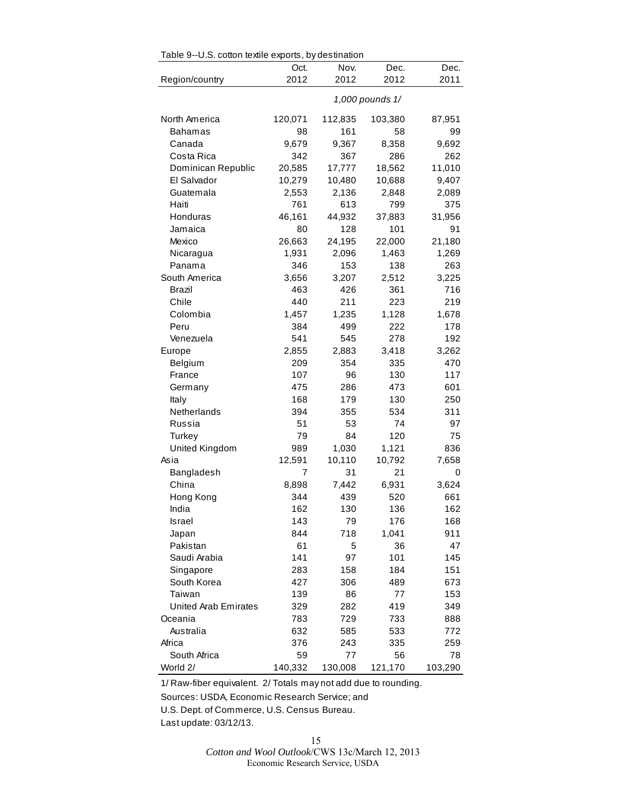| Table 9--U.S. cotton textile exports, by destination |         |         |                 |         |
|------------------------------------------------------|---------|---------|-----------------|---------|
|                                                      | Oct.    | Nov.    | Dec.            | Dec.    |
| Region/country                                       | 2012    | 2012    | 2012            | 2011    |
|                                                      |         |         | 1,000 pounds 1/ |         |
| North America                                        | 120,071 | 112,835 | 103,380         | 87,951  |
| <b>Bahamas</b>                                       | 98      | 161     | 58              | 99      |
| Canada                                               | 9,679   | 9,367   | 8,358           | 9,692   |
| Costa Rica                                           | 342     | 367     | 286             | 262     |
| Dominican Republic                                   | 20,585  | 17,777  | 18,562          | 11,010  |
| El Salvador                                          | 10,279  | 10,480  | 10,688          | 9,407   |
| Guatemala                                            | 2,553   | 2,136   | 2,848           | 2,089   |
| Haiti                                                | 761     | 613     | 799             | 375     |
| Honduras                                             | 46,161  | 44,932  | 37,883          | 31,956  |
| Jamaica                                              | 80      | 128     | 101             | 91      |
| Mexico                                               | 26,663  | 24,195  | 22,000          | 21,180  |
| Nicaragua                                            | 1,931   | 2,096   | 1,463           | 1,269   |
| Panama                                               | 346     | 153     | 138             | 263     |
| South America                                        | 3,656   | 3,207   | 2,512           | 3,225   |
| Brazil                                               | 463     | 426     | 361             | 716     |
| Chile                                                | 440     | 211     | 223             | 219     |
| Colombia                                             | 1,457   | 1,235   | 1,128           | 1,678   |
| Peru                                                 | 384     | 499     | 222             | 178     |
| Venezuela                                            | 541     | 545     | 278             | 192     |
| Europe                                               | 2,855   | 2,883   | 3,418           | 3,262   |
| Belgium                                              | 209     | 354     | 335             | 470     |
| France                                               | 107     | 96      | 130             | 117     |
| Germany                                              | 475     | 286     | 473             | 601     |
| Italy                                                | 168     | 179     | 130             | 250     |
| Netherlands                                          | 394     | 355     | 534             | 311     |
| Russia                                               | 51      | 53      | 74              | 97      |
| Turkey                                               | 79      | 84      | 120             | 75      |
| United Kingdom                                       | 989     | 1,030   | 1,121           | 836     |
| Asia                                                 | 12,591  | 10,110  | 10,792          | 7,658   |
| Bangladesh                                           | 7       | 31      | 21              | 0       |
| China                                                | 8,898   | 7,442   | 6,931           | 3,624   |
| Hong Kong                                            | 344     | 439     | 520             | 661     |
| India                                                | 162     | 130     | 136             | 162     |
| <b>Israel</b>                                        | 143     | 79      | 176             | 168     |
| Japan                                                | 844     | 718     | 1,041           | 911     |
| Pakistan                                             | 61      | 5       | 36              | 47      |
| Saudi Arabia                                         | 141     | 97      | 101             | 145     |
| Singapore                                            | 283     | 158     | 184             | 151     |
| South Korea                                          | 427     | 306     | 489             | 673     |
| Taiwan                                               | 139     | 86      | 77              | 153     |
| <b>United Arab Emirates</b>                          | 329     | 282     | 419             | 349     |
| Oceania                                              | 783     | 729     | 733             | 888     |
| Australia                                            | 632     | 585     | 533             | 772     |
| Africa                                               | 376     | 243     | 335             | 259     |
| South Africa                                         | 59      | 77      | 56              | 78      |
| World 2/                                             | 140,332 | 130,008 | 121,170         | 103,290 |

Table 9--U.S. cotton textile exports, by destination

1/ Raw-fiber equivalent. 2/ Totals may not add due to rounding.

Sources: USDA, Economic Research Service; and

U.S. Dept. of Commerce, U.S. Census Bureau.

Last update: 03/12/13.

15 *Cotton and Wool Outlook*/CWS 13c/March 12, 2013 Economic Research Service, USDA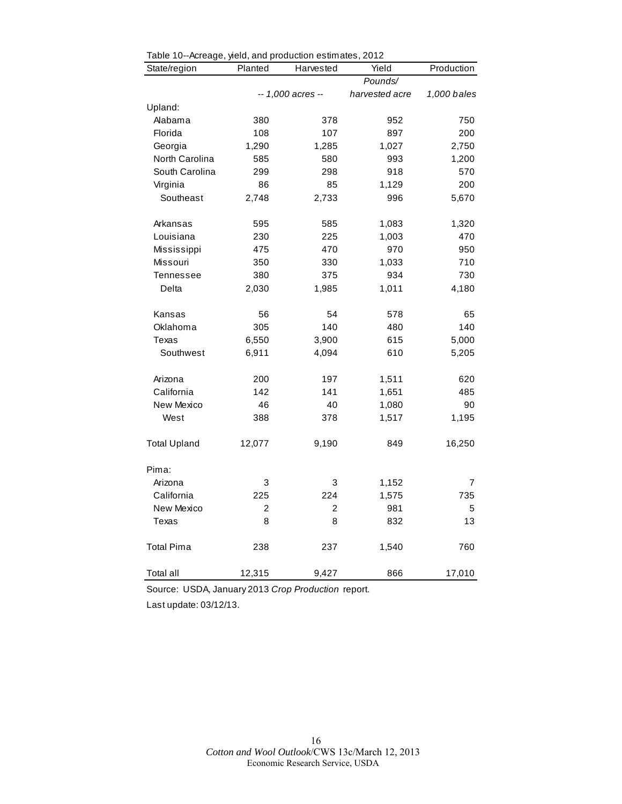| Table To-Acreage, yield, and production estimates, 2012<br>State/region | Planted | Harvested         | Yield          | Production  |
|-------------------------------------------------------------------------|---------|-------------------|----------------|-------------|
|                                                                         |         |                   | Pounds/        |             |
|                                                                         |         | -- 1,000 acres -- | harvested acre | 1,000 bales |
| Upland:                                                                 |         |                   |                |             |
| Alabama                                                                 | 380     | 378               | 952            | 750         |
| Florida                                                                 | 108     | 107               | 897            | 200         |
| Georgia                                                                 | 1,290   | 1,285             | 1,027          | 2,750       |
| North Carolina                                                          | 585     | 580               | 993            | 1,200       |
| South Carolina                                                          | 299     | 298               | 918            | 570         |
| Virginia                                                                | 86      | 85                | 1,129          | 200         |
| Southeast                                                               | 2,748   | 2,733             | 996            | 5,670       |
| Arkansas                                                                | 595     | 585               | 1,083          | 1,320       |
| Louisiana                                                               | 230     | 225               | 1,003          | 470         |
| Mississippi                                                             | 475     | 470               | 970            | 950         |
| Missouri                                                                | 350     | 330               | 1,033          | 710         |
| Tennessee                                                               | 380     | 375               | 934            | 730         |
| Delta                                                                   | 2,030   | 1,985             | 1,011          | 4,180       |
| Kansas                                                                  | 56      | 54                | 578            | 65          |
| Oklahoma                                                                | 305     | 140               | 480            | 140         |
| Texas                                                                   | 6,550   | 3,900             | 615            | 5,000       |
| Southwest                                                               | 6,911   | 4,094             | 610            | 5,205       |
| Arizona                                                                 | 200     | 197               | 1,511          | 620         |
| California                                                              | 142     | 141               | 1,651          | 485         |
| New Mexico                                                              | 46      | 40                | 1,080          | 90          |
| West                                                                    | 388     | 378               | 1,517          | 1,195       |
| <b>Total Upland</b>                                                     | 12,077  | 9,190             | 849            | 16,250      |
| Pima:                                                                   |         |                   |                |             |
| Arizona                                                                 | 3       | 3                 | 1,152          | 7           |
| California                                                              | 225     | 224               | 1,575          | 735         |
| New Mexico                                                              | 2       | 2                 | 981            | 5           |
| Texas                                                                   | 8       | 8                 | 832            | 13          |
| Total Pima                                                              | 238     | 237               | 1,540          | 760         |
| Total all                                                               | 12,315  | 9,427             | 866            | 17,010      |

|  | Table 10--Acreage, yield, and production estimates, 2012 |  |  |  |  |
|--|----------------------------------------------------------|--|--|--|--|
|--|----------------------------------------------------------|--|--|--|--|

Source: USDA, January 2013 *Crop Production* report.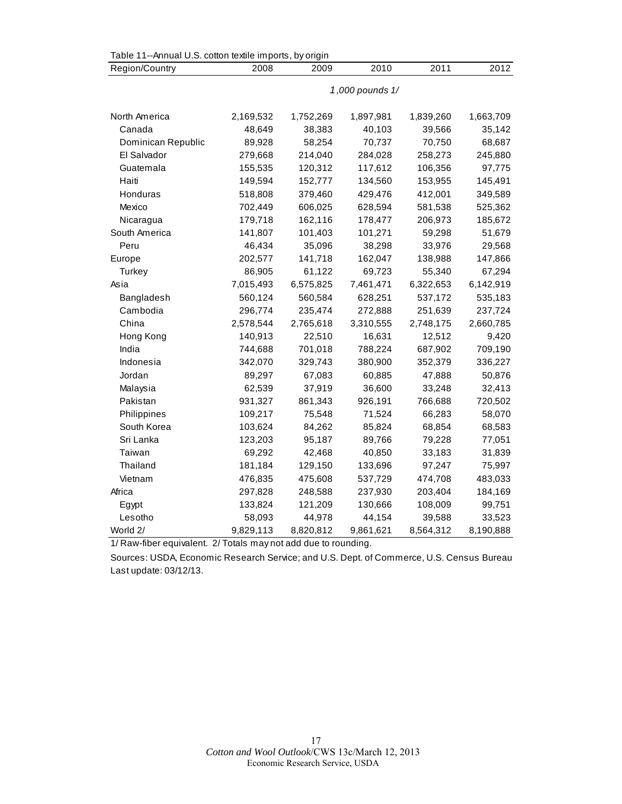| Table 11--Annual U.S. cotton textile imports, by origin |                 |           |           |           |           |  |  |
|---------------------------------------------------------|-----------------|-----------|-----------|-----------|-----------|--|--|
| Region/Country                                          | 2008            | 2009      | 2010      | 2011      | 2012      |  |  |
|                                                         | 1,000 pounds 1/ |           |           |           |           |  |  |
|                                                         |                 |           |           |           |           |  |  |
| North America                                           | 2,169,532       | 1,752,269 | 1,897,981 | 1,839,260 | 1,663,709 |  |  |
| Canada                                                  | 48,649          | 38,383    | 40,103    | 39,566    | 35,142    |  |  |
| Dominican Republic                                      | 89,928          | 58,254    | 70,737    | 70,750    | 68,687    |  |  |
| El Salvador                                             | 279,668         | 214,040   | 284,028   | 258,273   | 245,880   |  |  |
| Guatemala                                               | 155,535         | 120,312   | 117,612   | 106,356   | 97,775    |  |  |
| Haiti                                                   | 149,594         | 152,777   | 134,560   | 153,955   | 145,491   |  |  |
| Honduras                                                | 518,808         | 379,460   | 429,476   | 412,001   | 349,589   |  |  |
| Mexico                                                  | 702,449         | 606,025   | 628,594   | 581,538   | 525,362   |  |  |
| Nicaragua                                               | 179,718         | 162,116   | 178,477   | 206,973   | 185,672   |  |  |
| South America                                           | 141,807         | 101,403   | 101,271   | 59,298    | 51,679    |  |  |
| Peru                                                    | 46,434          | 35,096    | 38,298    | 33,976    | 29,568    |  |  |
| Europe                                                  | 202,577         | 141,718   | 162,047   | 138,988   | 147,866   |  |  |
| Turkey                                                  | 86,905          | 61,122    | 69,723    | 55,340    | 67,294    |  |  |
| Asia                                                    | 7,015,493       | 6,575,825 | 7,461,471 | 6,322,653 | 6,142,919 |  |  |
| Bangladesh                                              | 560,124         | 560,584   | 628,251   | 537,172   | 535,183   |  |  |
| Cambodia                                                | 296,774         | 235,474   | 272,888   | 251,639   | 237,724   |  |  |
| China                                                   | 2,578,544       | 2,765,618 | 3,310,555 | 2,748,175 | 2,660,785 |  |  |
| Hong Kong                                               | 140,913         | 22,510    | 16,631    | 12,512    | 9,420     |  |  |
| India                                                   | 744,688         | 701,018   | 788,224   | 687,902   | 709,190   |  |  |
| Indonesia                                               | 342,070         | 329,743   | 380,900   | 352,379   | 336,227   |  |  |
| Jordan                                                  | 89,297          | 67,083    | 60,885    | 47,888    | 50,876    |  |  |
| Malaysia                                                | 62,539          | 37,919    | 36,600    | 33,248    | 32,413    |  |  |
| Pakistan                                                | 931,327         | 861,343   | 926,191   | 766,688   | 720,502   |  |  |
| Philippines                                             | 109,217         | 75,548    | 71,524    | 66,283    | 58,070    |  |  |
| South Korea                                             | 103,624         | 84,262    | 85,824    | 68,854    | 68,583    |  |  |
| Sri Lanka                                               | 123,203         | 95,187    | 89,766    | 79,228    | 77,051    |  |  |
| Taiwan                                                  | 69,292          | 42,468    | 40,850    | 33,183    | 31,839    |  |  |
| Thailand                                                | 181,184         | 129,150   | 133,696   | 97,247    | 75,997    |  |  |
| Vietnam                                                 | 476,835         | 475,608   | 537,729   | 474,708   | 483,033   |  |  |
| Africa                                                  | 297,828         | 248,588   | 237,930   | 203,404   | 184,169   |  |  |
| Egypt                                                   | 133,824         | 121,209   | 130,666   | 108,009   | 99,751    |  |  |
| Lesotho                                                 | 58,093          | 44,978    | 44,154    | 39,588    | 33,523    |  |  |
| World 2/                                                | 9,829,113       | 8,820,812 | 9,861,621 | 8,564,312 | 8,190,888 |  |  |

1/ Raw-fiber equivalent. 2/ Totals may not add due to rounding.

Sources: USDA, Economic Research Service; and U.S. Dept. of Commerce, U.S. Census Bureau Last update: 03/12/13.